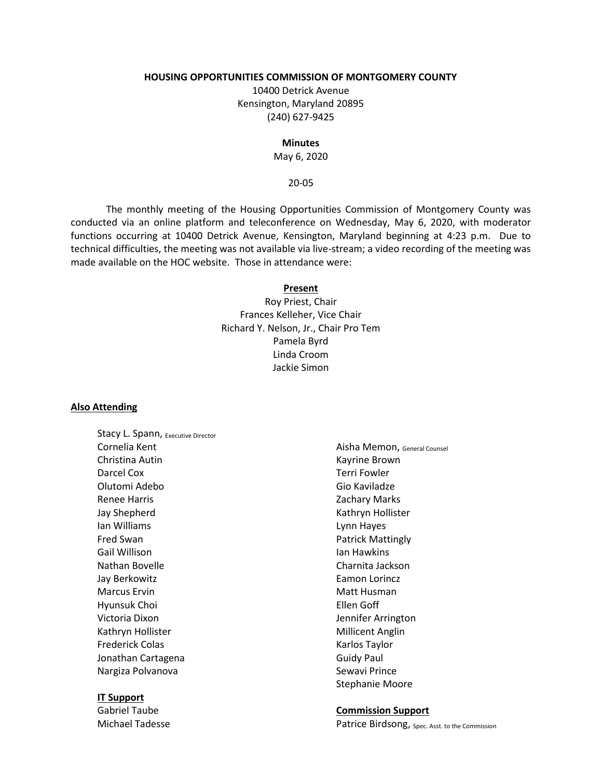### **HOUSING OPPORTUNITIES COMMISSION OF MONTGOMERY COUNTY**

10400 Detrick Avenue Kensington, Maryland 20895 (240) 627-9425

#### **Minutes**

May 6, 2020

## 20-05

The monthly meeting of the Housing Opportunities Commission of Montgomery County was conducted via an online platform and teleconference on Wednesday, May 6, 2020, with moderator functions occurring at 10400 Detrick Avenue, Kensington, Maryland beginning at 4:23 p.m. Due to technical difficulties, the meeting was not available via live-stream; a video recording of the meeting was made available on the HOC website. Those in attendance were:

#### **Present**

Roy Priest, Chair Frances Kelleher, Vice Chair Richard Y. Nelson, Jr., Chair Pro Tem Pamela Byrd Linda Croom Jackie Simon

#### **Also Attending**

Stacy L. Spann, Executive Director Cornelia Kent Christina Autin Darcel Cox Olutomi Adebo Renee Harris Jay Shepherd Ian Williams Fred Swan Gail Willison Nathan Bovelle Jay Berkowitz Marcus Ervin Hyunsuk Choi Victoria Dixon Kathryn Hollister Frederick Colas Jonathan Cartagena Nargiza Polvanova

### **IT Support**

Gabriel Taube Michael Tadesse

Aisha Memon, General Counsel Kayrine Brown Terri Fowler Gio Kaviladze Zachary Marks Kathryn Hollister Lynn Hayes Patrick Mattingly Ian Hawkins Charnita Jackson Eamon Lorincz Matt Husman Ellen Goff Jennifer Arrington Millicent Anglin Karlos Taylor Guidy Paul Sewavi Prince Stephanie Moore

### **Commission Support**

Patrice Birdsong, Spec. Asst. to the Commission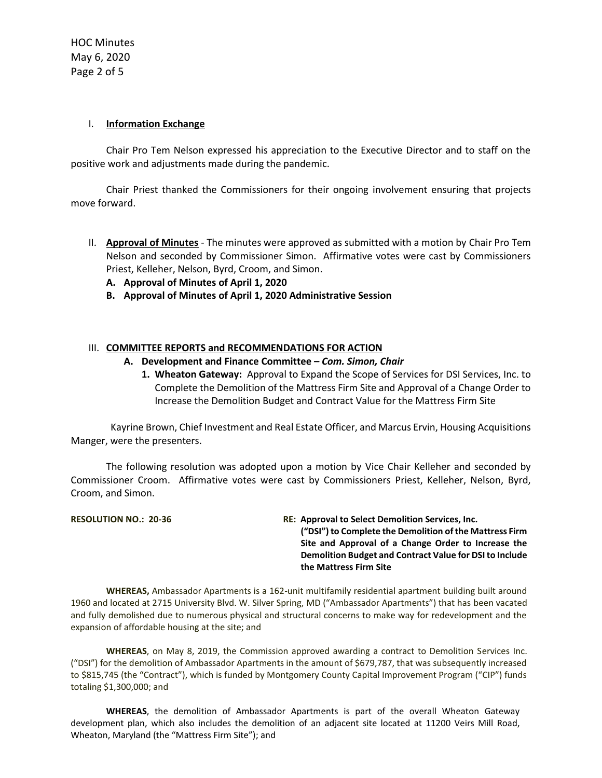## I. **Information Exchange**

Chair Pro Tem Nelson expressed his appreciation to the Executive Director and to staff on the positive work and adjustments made during the pandemic.

Chair Priest thanked the Commissioners for their ongoing involvement ensuring that projects move forward.

- II. **Approval of Minutes** The minutes were approved as submitted with a motion by Chair Pro Tem Nelson and seconded by Commissioner Simon. Affirmative votes were cast by Commissioners Priest, Kelleher, Nelson, Byrd, Croom, and Simon.
	- **A. Approval of Minutes of April 1, 2020**
	- **B. Approval of Minutes of April 1, 2020 Administrative Session**

# III. **COMMITTEE REPORTS and RECOMMENDATIONS FOR ACTION**

- **A. Development and Finance Committee –** *Com. Simon, Chair*
	- **1. Wheaton Gateway:** Approval to Expand the Scope of Services for DSI Services, Inc. to Complete the Demolition of the Mattress Firm Site and Approval of a Change Order to Increase the Demolition Budget and Contract Value for the Mattress Firm Site

Kayrine Brown, Chief Investment and Real Estate Officer, and Marcus Ervin, Housing Acquisitions Manger, were the presenters.

The following resolution was adopted upon a motion by Vice Chair Kelleher and seconded by Commissioner Croom. Affirmative votes were cast by Commissioners Priest, Kelleher, Nelson, Byrd, Croom, and Simon.

**RESOLUTION NO.: 20-36 RE: Approval to Select Demolition Services, Inc. ("DSI") to Complete the Demolition of the Mattress Firm Site and Approval of a Change Order to Increase the Demolition Budget and Contract Value for DSI to Include the Mattress Firm Site**

**WHEREAS,** Ambassador Apartments is a 162-unit multifamily residential apartment building built around 1960 and located at 2715 University Blvd. W. Silver Spring, MD ("Ambassador Apartments") that has been vacated and fully demolished due to numerous physical and structural concerns to make way for redevelopment and the expansion of affordable housing at the site; and

**WHEREAS**, on May 8, 2019, the Commission approved awarding a contract to Demolition Services Inc. ("DSI") for the demolition of Ambassador Apartments in the amount of \$679,787, that was subsequently increased to \$815,745 (the "Contract"), which is funded by Montgomery County Capital Improvement Program ("CIP") funds totaling \$1,300,000; and

**WHEREAS**, the demolition of Ambassador Apartments is part of the overall Wheaton Gateway development plan, which also includes the demolition of an adjacent site located at 11200 Veirs Mill Road, Wheaton, Maryland (the "Mattress Firm Site"); and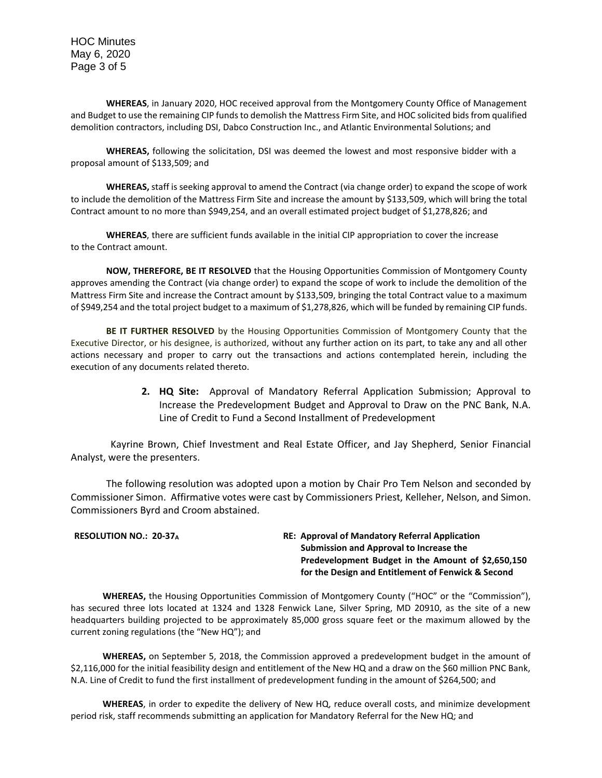HOC Minutes May 6, 2020 Page 3 of 5

**WHEREAS**, in January 2020, HOC received approval from the Montgomery County Office of Management and Budget to use the remaining CIP funds to demolish the Mattress Firm Site, and HOC solicited bids from qualified demolition contractors, including DSI, Dabco Construction Inc., and Atlantic Environmental Solutions; and

**WHEREAS,** following the solicitation, DSI was deemed the lowest and most responsive bidder with a proposal amount of \$133,509; and

**WHEREAS,** staff is seeking approval to amend the Contract (via change order) to expand the scope of work to include the demolition of the Mattress Firm Site and increase the amount by \$133,509, which will bring the total Contract amount to no more than \$949,254, and an overall estimated project budget of \$1,278,826; and

**WHEREAS**, there are sufficient funds available in the initial CIP appropriation to cover the increase to the Contract amount.

**NOW, THEREFORE, BE IT RESOLVED** that the Housing Opportunities Commission of Montgomery County approves amending the Contract (via change order) to expand the scope of work to include the demolition of the Mattress Firm Site and increase the Contract amount by \$133,509, bringing the total Contract value to a maximum of \$949,254 and the total project budget to a maximum of \$1,278,826, which will be funded by remaining CIP funds.

**BE IT FURTHER RESOLVED** by the Housing Opportunities Commission of Montgomery County that the Executive Director, or his designee, is authorized, without any further action on its part, to take any and all other actions necessary and proper to carry out the transactions and actions contemplated herein, including the execution of any documents related thereto.

> **2. HQ Site:** Approval of Mandatory Referral Application Submission; Approval to Increase the Predevelopment Budget and Approval to Draw on the PNC Bank, N.A. Line of Credit to Fund a Second Installment of Predevelopment

Kayrine Brown, Chief Investment and Real Estate Officer, and Jay Shepherd, Senior Financial Analyst, were the presenters.

The following resolution was adopted upon a motion by Chair Pro Tem Nelson and seconded by Commissioner Simon. Affirmative votes were cast by Commissioners Priest, Kelleher, Nelson, and Simon. Commissioners Byrd and Croom abstained.

| <b>RE: Approval of Mandatory Referral Application</b> |
|-------------------------------------------------------|
| Submission and Approval to Increase the               |
| Predevelopment Budget in the Amount of \$2,650,150    |
| for the Design and Entitlement of Fenwick & Second    |
|                                                       |

**WHEREAS,** the Housing Opportunities Commission of Montgomery County ("HOC" or the "Commission"), has secured three lots located at 1324 and 1328 Fenwick Lane, Silver Spring, MD 20910, as the site of a new headquarters building projected to be approximately 85,000 gross square feet or the maximum allowed by the current zoning regulations (the "New HQ"); and

**WHEREAS,** on September 5, 2018, the Commission approved a predevelopment budget in the amount of \$2,116,000 for the initial feasibility design and entitlement of the New HQ and a draw on the \$60 million PNC Bank, N.A. Line of Credit to fund the first installment of predevelopment funding in the amount of \$264,500; and

**WHEREAS**, in order to expedite the delivery of New HQ, reduce overall costs, and minimize development period risk, staff recommends submitting an application for Mandatory Referral for the New HQ; and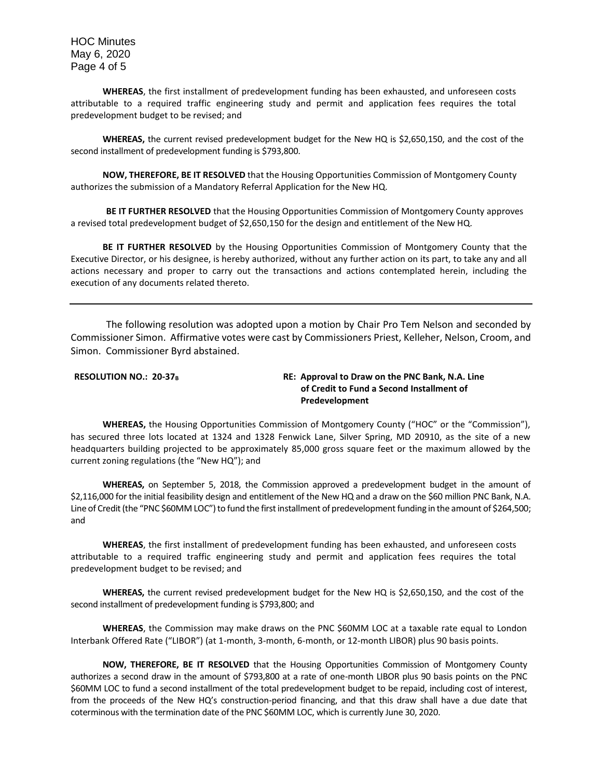HOC Minutes May 6, 2020 Page 4 of 5

**WHEREAS**, the first installment of predevelopment funding has been exhausted, and unforeseen costs attributable to a required traffic engineering study and permit and application fees requires the total predevelopment budget to be revised; and

**WHEREAS,** the current revised predevelopment budget for the New HQ is \$2,650,150, and the cost of the second installment of predevelopment funding is \$793,800.

**NOW, THEREFORE, BE IT RESOLVED** that the Housing Opportunities Commission of Montgomery County authorizes the submission of a Mandatory Referral Application for the New HQ.

**BE IT FURTHER RESOLVED** that the Housing Opportunities Commission of Montgomery County approves a revised total predevelopment budget of \$2,650,150 for the design and entitlement of the New HQ.

**BE IT FURTHER RESOLVED** by the Housing Opportunities Commission of Montgomery County that the Executive Director, or his designee, is hereby authorized, without any further action on its part, to take any and all actions necessary and proper to carry out the transactions and actions contemplated herein, including the execution of any documents related thereto.

The following resolution was adopted upon a motion by Chair Pro Tem Nelson and seconded by Commissioner Simon. Affirmative votes were cast by Commissioners Priest, Kelleher, Nelson, Croom, and Simon. Commissioner Byrd abstained.

**RESOLUTION NO.: 20-37<sup>B</sup> RE: Approval to Draw on the PNC Bank, N.A. Line of Credit to Fund a Second Installment of Predevelopment**

**WHEREAS,** the Housing Opportunities Commission of Montgomery County ("HOC" or the "Commission"), has secured three lots located at 1324 and 1328 Fenwick Lane, Silver Spring, MD 20910, as the site of a new headquarters building projected to be approximately 85,000 gross square feet or the maximum allowed by the current zoning regulations (the "New HQ"); and

**WHEREAS,** on September 5, 2018, the Commission approved a predevelopment budget in the amount of \$2,116,000 for the initial feasibility design and entitlement of the New HQ and a draw on the \$60 million PNC Bank, N.A. Line of Credit (the "PNC \$60MM LOC") to fund the first installment of predevelopment funding in the amount of \$264,500; and

**WHEREAS**, the first installment of predevelopment funding has been exhausted, and unforeseen costs attributable to a required traffic engineering study and permit and application fees requires the total predevelopment budget to be revised; and

**WHEREAS,** the current revised predevelopment budget for the New HQ is \$2,650,150, and the cost of the second installment of predevelopment funding is \$793,800; and

**WHEREAS**, the Commission may make draws on the PNC \$60MM LOC at a taxable rate equal to London Interbank Offered Rate ("LIBOR") (at 1-month, 3-month, 6-month, or 12-month LIBOR) plus 90 basis points.

**NOW, THEREFORE, BE IT RESOLVED** that the Housing Opportunities Commission of Montgomery County authorizes a second draw in the amount of \$793,800 at a rate of one-month LIBOR plus 90 basis points on the PNC \$60MM LOC to fund a second installment of the total predevelopment budget to be repaid, including cost of interest, from the proceeds of the New HQ's construction-period financing, and that this draw shall have a due date that coterminous with the termination date of the PNC \$60MM LOC, which is currently June 30, 2020.